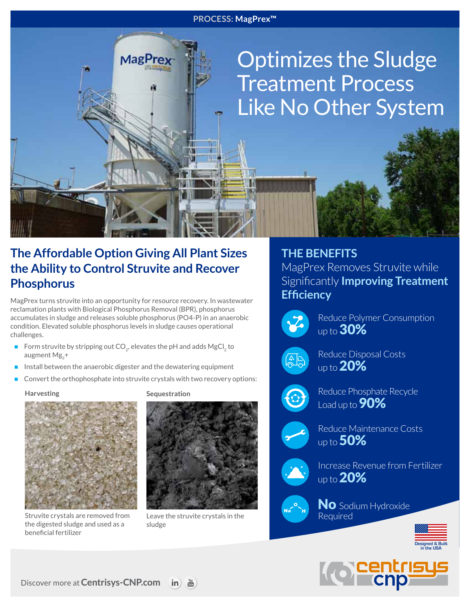#### **PROCESS: MagPrex™**

# Optimizes the Sludge Treatment Process Like No Other System

## **The Affordable Option Giving All Plant Sizes the Ability to Control Struvite and Recover Phosphorus**

**MagPrey** 

MagPrex turns struvite into an opportunity for resource recovery. In wastewater reclamation plants with Biological Phosphorus Removal (BPR), phosphorus accumulates in sludge and releases soluble phosphorus (PO4-P) in an anaerobic condition. Elevated soluble phosphorus levels in sludge causes operational challenges.

- Form struvite by stripping out  $CO<sub>2</sub>$ , elevates the pH and adds MgCl<sub>2</sub> to augment Mg<sub>2</sub>+
- $\blacksquare$  Install between the anaerobic digester and the dewatering equipment
- Convert the orthophosphate into struvite crystals with two recovery options:

**Harvesting**



Struvite crystals are removed from the digested sludge and used as a beneficial fertilizer

**Sequestration**



Leave the struvite crystals in the sludge

### **THE BENEFITS**

MagPrex Removes Struvite while Significantly **Improving Treatment Efficiency**



Reduce Polymer Consumption up to **30%** 



Reduce Disposal Costs up to  $20\%$ 



Reduce Phosphate Recycle Load up to **90%** 



Reduce Maintenance Costs up to **50%** 



Increase Revenue from Fertilizer up to **20%** 



No Sodium Hydroxide Required